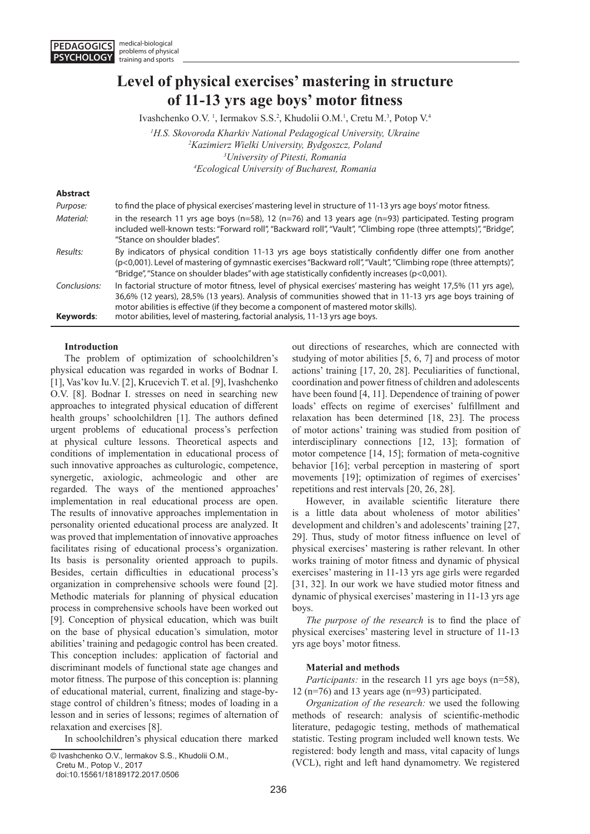# **Level of physical exercises' mastering in structure of 11-13 yrs age boys' motor fitness**

Ivashchenko O.V.<sup>1</sup>, Iermakov S.S.<sup>2</sup>, Khudolii O.M.<sup>1</sup>, Cretu M.<sup>3</sup>, Potop V.<sup>4</sup>

<sup>1</sup> H.S. Skovoroda Kharkiv National Pedagogical University, Ukraine <sup>2</sup> *Kazimierz Wielki University, Bydgoszcz, Poland* <sup>2</sup> Kazimierz Wielki University, Bydgoszcz, Poland *University of Pitesti, Romania 4 Ecological University of Bucharest, Romania*

#### **Abstract**

| Purpose:     | to find the place of physical exercises' mastering level in structure of 11-13 yrs age boys' motor fitness.                                                                                                                                                                                                                       |
|--------------|-----------------------------------------------------------------------------------------------------------------------------------------------------------------------------------------------------------------------------------------------------------------------------------------------------------------------------------|
| Material:    | in the research 11 yrs age boys ( $n=58$ ), 12 ( $n=76$ ) and 13 years age ( $n=93$ ) participated. Testing program<br>included well-known tests: "Forward roll", "Backward roll", "Vault", "Climbing rope (three attempts)", "Bridge",<br>"Stance on shoulder blades".                                                           |
| Results:     | By indicators of physical condition 11-13 yrs age boys statistically confidently differ one from another<br>(p<0,001). Level of mastering of gymnastic exercises "Backward roll", "Vault", "Climbing rope (three attempts)",<br>"Bridge", "Stance on shoulder blades" with age statistically confidently increases ( $p<0.001$ ). |
| Conclusions: | In factorial structure of motor fitness, level of physical exercises' mastering has weight 17,5% (11 yrs age),<br>36,6% (12 years), 28,5% (13 years). Analysis of communities showed that in 11-13 yrs age boys training of<br>motor abilities is effective (if they become a component of mastered motor skills).                |
| Keywords:    | motor abilities, level of mastering, factorial analysis, 11-13 yrs age boys.                                                                                                                                                                                                                                                      |

# **Introduction**

The problem of optimization of schoolchildren's physical education was regarded in works of Bodnar I. [1], Vas'kov Iu.V. [2], Krucevich T. et al. [9], Ivashchenko O.V. [8]. Bodnar I. stresses on need in searching new approaches to integrated physical education of different health groups' schoolchildren [1]. The authors defined urgent problems of educational process's perfection at physical culture lessons. Theoretical aspects and conditions of implementation in educational process of such innovative approaches as culturologic, competence, synergetic, axiologic, achmeologic and other are regarded. The ways of the mentioned approaches' implementation in real educational process are open. The results of innovative approaches implementation in personality oriented educational process are analyzed. It was proved that implementation of innovative approaches facilitates rising of educational process's organization. Its basis is personality oriented approach to pupils. Besides, certain difficulties in educational process's organization in comprehensive schools were found [2]. Methodic materials for planning of physical education process in comprehensive schools have been worked out [9]. Conception of physical education, which was built on the base of physical education's simulation, motor abilities' training and pedagogic control has been created. This conception includes: application of factorial and discriminant models of functional state age changes and motor fitness. The purpose of this conception is: planning of educational material, current, finalizing and stage-bystage control of children's fitness; modes of loading in a lesson and in series of lessons; regimes of alternation of relaxation and exercises [8].

In schoolchildren's physical education there marked

© Ivashchenko O.V., Iermakov S.S., Khudolii O.M.,

Cretu M., Potop V., 2017

doi:10.15561/18189172.2017.0506

out directions of researches, which are connected with studying of motor abilities [5, 6, 7] and process of motor actions' training [17, 20, 28]. Peculiarities of functional, coordination and power fitness of children and adolescents have been found [4, 11]. Dependence of training of power loads' effects on regime of exercises' fulfillment and relaxation has been determined [18, 23]. The process of motor actions' training was studied from position of interdisciplinary connections [12, 13]; formation of motor competence [14, 15]; formation of meta-cognitive behavior [16]; verbal perception in mastering of sport movements [19]; optimization of regimes of exercises' repetitions and rest intervals [20, 26, 28].

However, in available scientific literature there is a little data about wholeness of motor abilities' development and children's and adolescents' training [27, 29]. Thus, study of motor fitness influence on level of physical exercises' mastering is rather relevant. In other works training of motor fitness and dynamic of physical exercises' mastering in 11-13 yrs age girls were regarded [31, 32]. In our work we have studied motor fitness and dynamic of physical exercises' mastering in 11-13 yrs age boys.

*The purpose of the research* is to find the place of physical exercises' mastering level in structure of 11-13 yrs age boys' motor fitness.

# **Material and methods**

*Participants:* in the research 11 yrs age boys (n=58), 12 (n=76) and 13 years age (n=93) participated.

*Organization of the research:* we used the following methods of research: analysis of scientific-methodic literature, pedagogic testing, methods of mathematical statistic. Testing program included well known tests. We registered: body length and mass, vital capacity of lungs (VCL), right and left hand dynamometry. We registered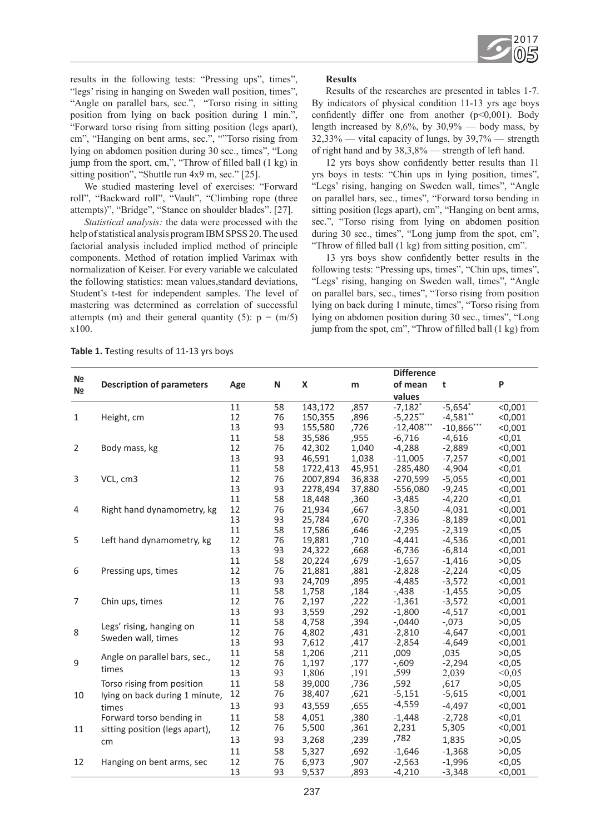

results in the following tests: "Pressing ups", times", "legs' rising in hanging on Sweden wall position, times", "Angle on parallel bars, sec.", "Torso rising in sitting position from lying on back position during 1 min.", "Forward torso rising from sitting position (legs apart), cm", "Hanging on bent arms, sec.", ""Torso rising from lying on abdomen position during 30 sec., times", "Long jump from the sport, cm,", "Throw of filled ball (1 kg) in sitting position", "Shuttle run 4x9 m, sec." [25].

We studied mastering level of exercises: "Forward roll", "Backward roll", "Vault", "Climbing rope (three attempts)", "Bridge", "Stance on shoulder blades". [27].

*Statistical analysis:* the data were processed with the help of statistical analysis program IBM SPSS 20. The used factorial analysis included implied method of principle components. Method of rotation implied Varimax with normalization of Keiser. For every variable we calculated the following statistics: mean values,standard deviations, Student's t-test for independent samples. The level of mastering was determined as correlation of successful attempts (m) and their general quantity (5):  $p = (m/5)$ x100.

# **Results**

Results of the researches are presented in tables 1-7. By indicators of physical condition 11-13 yrs age boys confidently differ one from another  $(p<0,001)$ . Body length increased by  $8,6\%$ , by  $30,9\%$  — body mass, by 32,33% — vital capacity of lungs, by 39,7% — strength of right hand and by 38,3,8% — strength of left hand.

12 yrs boys show confidently better results than 11 yrs boys in tests: "Chin ups in lying position, times", "Legs' rising, hanging on Sweden wall, times", "Angle on parallel bars, sec., times", "Forward torso bending in sitting position (legs apart), cm", "Hanging on bent arms, sec.", "Torso rising from lying on abdomen position during 30 sec., times", "Long jump from the spot, cm", "Throw of filled ball (1 kg) from sitting position, cm".

13 yrs boys show confidently better results in the following tests: "Pressing ups, times", "Chin ups, times", "Legs' rising, hanging on Sweden wall, times", "Angle on parallel bars, sec., times", "Torso rising from position lying on back during 1 minute, times", "Torso rising from lying on abdomen position during 30 sec., times", "Long jump from the spot, cm", "Throw of filled ball (1 kg) from

**Table 1. T**esting results of 11-13 yrs boys

| N <b>o</b>     |                                  |     |    |          |        | <b>Difference</b>     |              |         |
|----------------|----------------------------------|-----|----|----------|--------|-----------------------|--------------|---------|
|                | <b>Description of parameters</b> | Age | N  | X        | m      | of mean               | t            | P       |
| N <sub>2</sub> |                                  |     |    |          |        | values                |              |         |
|                |                                  | 11  | 58 | 143,172  | ,857   | $-7,182$ <sup>*</sup> | $-5,654*$    | < 0,001 |
| $\mathbf{1}$   | Height, cm                       | 12  | 76 | 150,355  | ,896   | $-5,225$ **           | $-4,581$ **  | < 0,001 |
|                |                                  | 13  | 93 | 155,580  | ,726   | $-12,408***$          | $-10,866***$ | < 0,001 |
|                |                                  | 11  | 58 | 35,586   | ,955   | $-6,716$              | $-4,616$     | < 0, 01 |
| 2              | Body mass, kg                    | 12  | 76 | 42,302   | 1,040  | $-4,288$              | $-2,889$     | < 0,001 |
|                |                                  | 13  | 93 | 46,591   | 1,038  | $-11,005$             | $-7,257$     | < 0,001 |
|                |                                  | 11  | 58 | 1722,413 | 45,951 | $-285,480$            | $-4,904$     | < 0,01  |
| 3              | VCL, cm3                         | 12  | 76 | 2007,894 | 36,838 | $-270,599$            | $-5,055$     | < 0,001 |
|                |                                  | 13  | 93 | 2278,494 | 37,880 | $-556,080$            | $-9,245$     | < 0,001 |
|                |                                  | 11  | 58 | 18,448   | ,360   | $-3,485$              | $-4,220$     | < 0, 01 |
| 4              | Right hand dynamometry, kg       | 12  | 76 | 21,934   | ,667   | $-3,850$              | $-4,031$     | < 0,001 |
|                |                                  | 13  | 93 | 25,784   | ,670   | $-7,336$              | $-8,189$     | < 0,001 |
|                |                                  | 11  | 58 | 17,586   | ,646   | $-2,295$              | $-2,319$     | < 0.05  |
| 5              | Left hand dynamometry, kg        | 12  | 76 | 19,881   | ,710   | $-4,441$              | $-4,536$     | < 0,001 |
|                |                                  | 13  | 93 | 24,322   | ,668   | $-6,736$              | $-6,814$     | < 0,001 |
|                |                                  | 11  | 58 | 20,224   | ,679   | $-1,657$              | $-1,416$     | >0,05   |
| 6              | Pressing ups, times              | 12  | 76 | 21,881   | ,881   | $-2,828$              | $-2,224$     | < 0,05  |
|                |                                  | 13  | 93 | 24,709   | ,895   | $-4,485$              | $-3,572$     | < 0,001 |
|                |                                  | 11  | 58 | 1,758    | ,184   | $-0.438$              | $-1,455$     | >0,05   |
| 7              | Chin ups, times                  | 12  | 76 | 2,197    | ,222   | $-1,361$              | $-3,572$     | < 0,001 |
|                |                                  | 13  | 93 | 3,559    | ,292   | $-1,800$              | $-4,517$     | < 0,001 |
|                | Legs' rising, hanging on         | 11  | 58 | 4,758    | ,394   | $-0440$               | $-073$       | >0,05   |
| 8              | Sweden wall, times               | 12  | 76 | 4,802    | ,431   | $-2,810$              | $-4,647$     | < 0,001 |
|                |                                  | 13  | 93 | 7,612    | ,417   | $-2,854$              | $-4,649$     | < 0,001 |
|                | Angle on parallel bars, sec.,    | 11  | 58 | 1,206    | ,211   | ,009                  | ,035         | >0,05   |
| 9              | times                            | 12  | 76 | 1,197    | ,177   | $-0.609$              | $-2,294$     | < 0,05  |
|                |                                  | 13  | 93 | 1,806    | ,191   | ,599                  | 2,039        | < 0.05  |
|                | Torso rising from position       | 11  | 58 | 39,000   | ,736   | ,592                  | ,617         | >0,05   |
| 10             | lying on back during 1 minute,   | 12  | 76 | 38,407   | ,621   | $-5,151$              | $-5,615$     | < 0,001 |
|                | times                            | 13  | 93 | 43,559   | ,655   | $-4,559$              | $-4,497$     | < 0,001 |
|                | Forward torso bending in         | 11  | 58 | 4,051    | ,380   | $-1,448$              | $-2,728$     | < 0.01  |
| 11             | sitting position (legs apart),   | 12  | 76 | 5,500    | ,361   | 2,231                 | 5,305        | < 0,001 |
|                | cm                               | 13  | 93 | 3,268    | ,239   | ,782                  | 1,835        | >0,05   |
|                |                                  | 11  | 58 | 5,327    | ,692   | $-1,646$              | $-1,368$     | >0,05   |
| 12             | Hanging on bent arms, sec        | 12  | 76 | 6,973    | ,907   | $-2,563$              | $-1,996$     | < 0,05  |
|                |                                  | 13  | 93 | 9,537    | ,893   | $-4,210$              | $-3,348$     | < 0,001 |
|                |                                  |     |    |          |        |                       |              |         |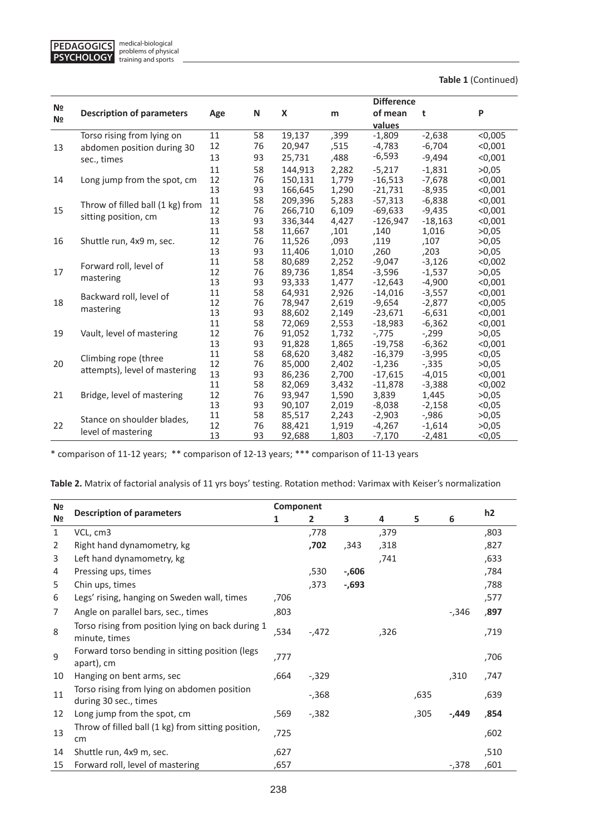

**Table 1** (Continued)

|                |                                  |          |          |                  |                | <b>Difference</b>      |                      |                    |
|----------------|----------------------------------|----------|----------|------------------|----------------|------------------------|----------------------|--------------------|
| N <sub>2</sub> | <b>Description of parameters</b> | Age      | N        | X                | m              | of mean                | t                    | P                  |
| N <sub>2</sub> |                                  |          |          |                  |                | values                 |                      |                    |
|                | Torso rising from lying on       | 11       | 58       | 19,137           | ,399           | $-1,809$               | $-2,638$             | < 0,005            |
| 13             | abdomen position during 30       | 12       | 76       | 20,947           | ,515           | $-4,783$               | $-6,704$             | < 0,001            |
|                | sec., times                      | 13       | 93       | 25,731           | ,488           | $-6,593$               | $-9,494$             | < 0,001            |
|                |                                  | 11       | 58       | 144.913          | 2,282          | $-5,217$               | $-1.831$             | >0.05              |
| 14             | Long jump from the spot, cm      | 12       | 76       | 150,131          | 1,779          | $-16,513$              | $-7,678$             | < 0.001            |
|                |                                  | 13       | 93       | 166,645          | 1,290          | $-21,731$              | $-8,935$             | < 0,001            |
|                | Throw of filled ball (1 kg) from | 11       | 58       | 209,396          | 5,283          | $-57,313$              | $-6,838$             | < 0,001            |
| 15             | sitting position, cm             | 12       | 76       | 266,710          | 6,109          | $-69,633$              | $-9,435$             | < 0,001            |
|                |                                  | 13       | 93       | 336,344          | 4,427          | $-126,947$             | $-18,163$            | < 0.001            |
|                |                                  | 11       | 58       | 11,667           | ,101           | ,140                   | 1,016                | >0,05              |
| 16             | Shuttle run, 4x9 m, sec.         | 12       | 76       | 11,526           | ,093           | ,119                   | ,107                 | >0,05              |
|                |                                  | 13       | 93       | 11,406           | 1,010          | ,260                   | ,203                 | >0.05              |
|                | Forward roll, level of           | 11       | 58       | 80,689           | 2,252          | $-9,047$               | $-3,126$             | < 0,002            |
| 17             | mastering                        | 12       | 76       | 89,736           | 1,854          | $-3,596$               | $-1,537$             | >0,05              |
|                |                                  | 13       | 93       | 93,333           | 1,477          | $-12,643$              | $-4,900$             | < 0.001            |
|                | Backward roll, level of          | 11       | 58       | 64,931           | 2,926          | $-14,016$              | $-3,557$             | < 0,001            |
| 18             | mastering                        | 12       | 76       | 78,947           | 2,619          | $-9,654$               | $-2,877$             | < 0,005            |
|                |                                  | 13<br>11 | 93<br>58 | 88,602<br>72,069 | 2,149          | $-23,671$<br>$-18,983$ | $-6,631$<br>$-6,362$ | < 0,001<br>< 0.001 |
| 19             | Vault, level of mastering        | 12       | 76       | 91,052           | 2,553<br>1,732 | $-775$                 | $-299$               | >0.05              |
|                |                                  | 13       | 93       | 91,828           | 1,865          | $-19,758$              | $-6,362$             | < 0,001            |
|                |                                  | 11       | 58       | 68,620           | 3,482          | $-16,379$              | $-3,995$             | < 0.05             |
| 20             | Climbing rope (three             | 12       | 76       | 85,000           | 2,402          | $-1,236$               | $-0.335$             | >0,05              |
|                | attempts), level of mastering    | 13       | 93       | 86,236           | 2,700          | $-17,615$              | $-4,015$             | < 0.001            |
|                |                                  | 11       | 58       | 82,069           | 3,432          | $-11,878$              | $-3,388$             | < 0.002            |
| 21             | Bridge, level of mastering       | 12       | 76       | 93,947           | 1,590          | 3,839                  | 1,445                | >0.05              |
|                |                                  | 13       | 93       | 90,107           | 2,019          | $-8,038$               | $-2,158$             | < 0.05             |
|                |                                  | 11       | 58       | 85,517           | 2,243          | $-2,903$               | $-0.986$             | >0.05              |
| 22             | Stance on shoulder blades,       | 12       | 76       | 88,421           | 1,919          | $-4,267$               | $-1,614$             | >0.05              |
|                | level of mastering               | 13       | 93       | 92,688           | 1,803          | $-7,170$               | $-2,481$             | < 0.05             |

\* comparison of 11-12 years; \*\* comparison of 12-13 years; \*\*\* comparison of 11-13 years

|  | Table 2. Matrix of factorial analysis of 11 yrs boys' testing. Rotation method: Varimax with Keiser's normalization |
|--|---------------------------------------------------------------------------------------------------------------------|
|--|---------------------------------------------------------------------------------------------------------------------|

| N <sub>2</sub> |                                                                      | Component |              |          |      |      |          |                |
|----------------|----------------------------------------------------------------------|-----------|--------------|----------|------|------|----------|----------------|
| N <sub>2</sub> | <b>Description of parameters</b>                                     | 1         | $\mathbf{2}$ | 3        | 4    | 5    | 6        | h <sub>2</sub> |
| $\mathbf{1}$   | VCL, cm3                                                             |           | ,778         |          | ,379 |      |          | ,803           |
| 2              | Right hand dynamometry, kg                                           |           | ,702         | ,343     | ,318 |      |          | ,827           |
| 3              | Left hand dynamometry, kg                                            |           |              |          | ,741 |      |          | ,633           |
| 4              | Pressing ups, times                                                  |           | ,530         | $-0.606$ |      |      |          | ,784           |
| 5              | Chin ups, times                                                      |           | ,373         | $-693$   |      |      |          | ,788           |
| 6              | Legs' rising, hanging on Sweden wall, times                          | ,706      |              |          |      |      |          | ,577           |
| 7              | Angle on parallel bars, sec., times                                  | ,803      |              |          |      |      | $-0.346$ | ,897           |
| 8              | Torso rising from position lying on back during 1<br>minute, times   | ,534      | $-.472$      |          | ,326 |      |          | ,719           |
| 9              | Forward torso bending in sitting position (legs<br>apart), cm        | ,777      |              |          |      |      |          | ,706           |
| 10             | Hanging on bent arms, sec                                            | ,664      | $-0.329$     |          |      |      | ,310     | ,747           |
| 11             | Torso rising from lying on abdomen position<br>during 30 sec., times |           | $-0.368$     |          |      | ,635 |          | ,639           |
| 12             | Long jump from the spot, cm                                          | ,569      | $-0.382$     |          |      | ,305 | -,449    | ,854           |
| 13             | Throw of filled ball (1 kg) from sitting position,<br><sub>cm</sub>  | ,725      |              |          |      |      |          | ,602           |
| 14             | Shuttle run, 4x9 m, sec.                                             | ,627      |              |          |      |      |          | ,510           |
| 15             | Forward roll, level of mastering                                     | ,657      |              |          |      |      | $-0.378$ | ,601           |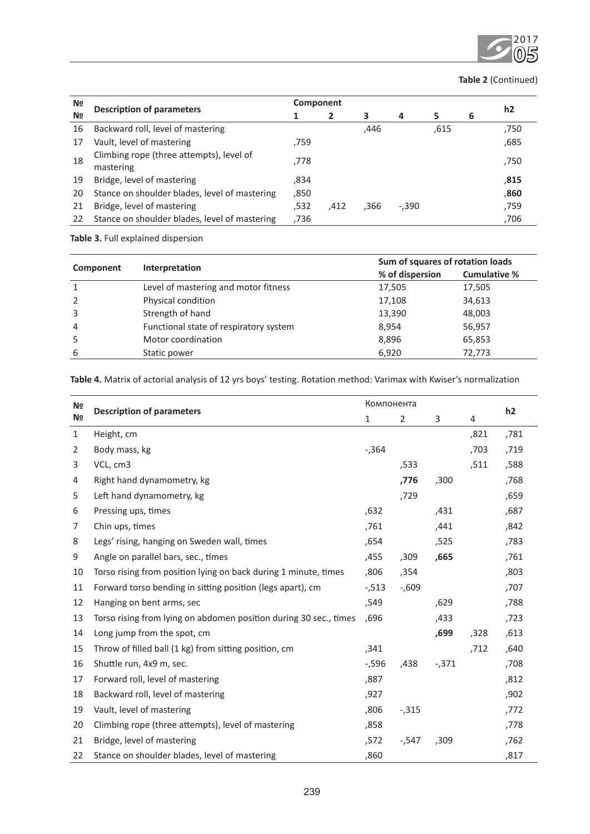

# **Table 2** (Continued)

| N <sub>2</sub> |                                                       |      | Component |      |                |      |   |      |
|----------------|-------------------------------------------------------|------|-----------|------|----------------|------|---|------|
| N <sub>2</sub> | <b>Description of parameters</b>                      |      | 2         | 3    | $\overline{a}$ | 5    | 6 | h2   |
| 16             | Backward roll, level of mastering                     |      |           | ,446 |                | .615 |   | ,750 |
| 17             | Vault, level of mastering                             | ,759 |           |      |                |      |   | ,685 |
| 18             | Climbing rope (three attempts), level of<br>mastering | .778 |           |      |                |      |   | ,750 |
| 19             | Bridge, level of mastering                            | ,834 |           |      |                |      |   | ,815 |
| 20             | Stance on shoulder blades, level of mastering         | ,850 |           |      |                |      |   | ,860 |
| 21             | Bridge, level of mastering                            | ,532 | .412      | .366 | $-.390$        |      |   | ,759 |
| 22             | Stance on shoulder blades, level of mastering         | ,736 |           |      |                |      |   | ,706 |

**Table 3.** Full explained dispersion

|                | Interpretation                         | Sum of squares of rotation loads |                     |  |  |  |
|----------------|----------------------------------------|----------------------------------|---------------------|--|--|--|
| Component      |                                        | % of dispersion                  | <b>Cumulative %</b> |  |  |  |
| 1              | Level of mastering and motor fitness   | 17,505                           | 17,505              |  |  |  |
| 2              | Physical condition                     | 17,108                           | 34,613              |  |  |  |
| 3              | Strength of hand                       | 13,390                           | 48,003              |  |  |  |
| $\overline{4}$ | Functional state of respiratory system | 8,954                            | 56,957              |  |  |  |
| 5              | Motor coordination                     | 8,896                            | 65,853              |  |  |  |
| 6              | Static power                           | 6,920                            | 72,773              |  |  |  |

| N <sub>2</sub> | <b>Description of parameters</b>                                  |          | Компонента     |          |                |                |  |
|----------------|-------------------------------------------------------------------|----------|----------------|----------|----------------|----------------|--|
| N <sub>2</sub> |                                                                   | 1        | $\overline{2}$ | 3        | $\overline{4}$ | h <sub>2</sub> |  |
| $\mathbf{1}$   | Height, cm                                                        |          |                |          | ,821           | ,781           |  |
| 2              | Body mass, kg                                                     | $-0.364$ |                |          | ,703           | ,719           |  |
| 3              | VCL, cm3                                                          |          | ,533           |          | ,511           | ,588           |  |
| 4              | Right hand dynamometry, kg                                        |          | ,776           | ,300     |                | ,768           |  |
| 5              | Left hand dynamometry, kg                                         |          | ,729           |          |                | ,659           |  |
| 6              | Pressing ups, times                                               | ,632     |                | ,431     |                | ,687           |  |
| 7              | Chin ups, times                                                   | ,761     |                | ,441     |                | ,842           |  |
| 8              | Legs' rising, hanging on Sweden wall, times                       | ,654     |                | ,525     |                | ,783           |  |
| 9              | Angle on parallel bars, sec., times                               | ,455     | ,309           | ,665     |                | ,761           |  |
| 10             | Torso rising from position lying on back during 1 minute, times   | ,806     | ,354           |          |                | ,803           |  |
| 11             | Forward torso bending in sitting position (legs apart), cm        | $-513$   | $-0.609$       |          |                | ,707           |  |
| 12             | Hanging on bent arms, sec                                         | ,549     |                | ,629     |                | ,788           |  |
| 13             | Torso rising from lying on abdomen position during 30 sec., times | .696     |                | ,433     |                | ,723           |  |
| 14             | Long jump from the spot, cm                                       |          |                | ,699     | ,328           | ,613           |  |
| 15             | Throw of filled ball (1 kg) from sitting position, cm             | ,341     |                |          | ,712           | ,640           |  |
| 16             | Shuttle run, 4x9 m, sec.                                          | $-1,596$ | ,438           | $-0.371$ |                | ,708           |  |
| 17             | Forward roll, level of mastering                                  | ,887     |                |          |                | ,812           |  |
| 18             | Backward roll, level of mastering                                 | ,927     |                |          |                | ,902           |  |
| 19             | Vault, level of mastering                                         | ,806     | $-0.315$       |          |                | ,772           |  |
| 20             | Climbing rope (three attempts), level of mastering                | ,858     |                |          |                | ,778           |  |
| 21             | Bridge, level of mastering                                        | ,572     | $-547$         | ,309     |                | ,762           |  |
| 22             | Stance on shoulder blades, level of mastering                     | ,860     |                |          |                | ,817           |  |

**Table 4.** Matrix of actorial analysis of 12 yrs boys' testing. Rotation method: Varimax with Kwiser's normalization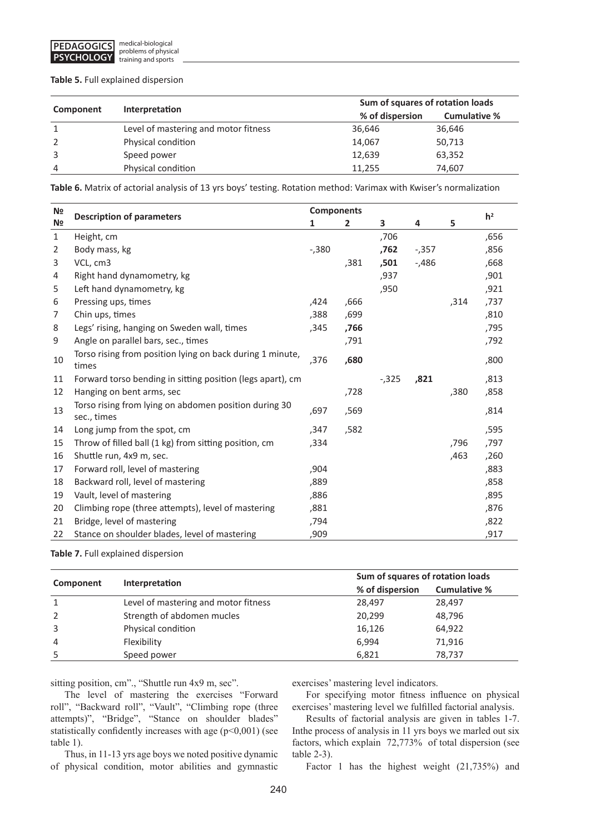# **Table 5.** Full explained dispersion

|                | Interpretation                       | Sum of squares of rotation loads |                     |  |  |  |
|----------------|--------------------------------------|----------------------------------|---------------------|--|--|--|
| Component      |                                      | % of dispersion                  | <b>Cumulative %</b> |  |  |  |
| 1              | Level of mastering and motor fitness | 36,646                           | 36,646              |  |  |  |
| 2              | Physical condition                   | 14,067                           | 50,713              |  |  |  |
| 3              | Speed power                          | 12,639                           | 63,352              |  |  |  |
| $\overline{4}$ | Physical condition                   | 11.255                           | 74,607              |  |  |  |

**Table 6.** Matrix of actorial analysis of 13 yrs boys' testing. Rotation method: Varimax with Kwiser's normalization

| N <sub>2</sub> | <b>Description of parameters</b>                                     | <b>Components</b> |                |          |          |      | h <sup>2</sup> |
|----------------|----------------------------------------------------------------------|-------------------|----------------|----------|----------|------|----------------|
| N <sub>2</sub> |                                                                      | $\mathbf{1}$      | $\overline{2}$ | 3        | 4        | 5    |                |
| 1              | Height, cm                                                           |                   |                | ,706     |          |      | ,656           |
| 2              | Body mass, kg                                                        | $-0.380$          |                | ,762     | $-0.357$ |      | ,856           |
| 3              | VCL, cm3                                                             |                   | ,381           | ,501     | $-486$   |      | ,668           |
| 4              | Right hand dynamometry, kg                                           |                   |                | ,937     |          |      | ,901           |
| 5              | Left hand dynamometry, kg                                            |                   |                | ,950     |          |      | ,921           |
| 6              | Pressing ups, times                                                  | ,424              | ,666           |          |          | ,314 | ,737           |
| 7              | Chin ups, times                                                      | ,388              | ,699           |          |          |      | ,810           |
| 8              | Legs' rising, hanging on Sweden wall, times                          | ,345              | ,766           |          |          |      | ,795           |
| 9              | Angle on parallel bars, sec., times                                  |                   | ,791           |          |          |      | ,792           |
| 10             | Torso rising from position lying on back during 1 minute,<br>times   | ,376              | ,680           |          |          |      | ,800           |
| 11             | Forward torso bending in sitting position (legs apart), cm           |                   |                | $-0.325$ | ,821     |      | ,813           |
| 12             | Hanging on bent arms, sec                                            |                   | ,728           |          |          | ,380 | ,858           |
| 13             | Torso rising from lying on abdomen position during 30<br>sec., times | ,697              | ,569           |          |          |      | ,814           |
| 14             | Long jump from the spot, cm                                          | ,347              | ,582           |          |          |      | ,595           |
| 15             | Throw of filled ball (1 kg) from sitting position, cm                | ,334              |                |          |          | ,796 | ,797           |
| 16             | Shuttle run, 4x9 m, sec.                                             |                   |                |          |          | ,463 | ,260           |
| 17             | Forward roll, level of mastering                                     | ,904              |                |          |          |      | ,883           |
| 18             | Backward roll, level of mastering                                    | ,889              |                |          |          |      | ,858           |
| 19             | Vault, level of mastering                                            | ,886              |                |          |          |      | ,895           |
| 20             | Climbing rope (three attempts), level of mastering                   | ,881              |                |          |          |      | ,876           |
| 21             | Bridge, level of mastering                                           | ,794              |                |          |          |      | ,822           |
| 22             | Stance on shoulder blades, level of mastering                        | ,909              |                |          |          |      | ,917           |

**Table 7.** Full explained dispersion

|                |                                      | Sum of squares of rotation loads |              |  |  |  |
|----------------|--------------------------------------|----------------------------------|--------------|--|--|--|
| Component      | Interpretation                       | % of dispersion                  | Cumulative % |  |  |  |
|                | Level of mastering and motor fitness | 28,497                           | 28,497       |  |  |  |
| $\mathcal{P}$  | Strength of abdomen mucles           | 20,299                           | 48,796       |  |  |  |
| 3              | Physical condition                   | 16,126                           | 64,922       |  |  |  |
| $\overline{4}$ | Flexibility                          | 6,994                            | 71,916       |  |  |  |
|                | Speed power                          | 6,821                            | 78,737       |  |  |  |

sitting position, cm"., "Shuttle run 4x9 m, sec".

The level of mastering the exercises "Forward roll", "Backward roll", "Vault", "Climbing rope (three attempts)", "Bridge", "Stance on shoulder blades" statistically confidently increases with age  $(p<0,001)$  (see table 1).

Thus, in 11-13 yrs age boys we noted positive dynamic of physical condition, motor abilities and gymnastic

exercises' mastering level indicators.

For specifying motor fitness influence on physical exercises' mastering level we fulfilled factorial analysis.

Results of factorial analysis are given in tables 1-7. Inthe process of analysis in 11 yrs boys we marled out six factors, which explain 72,773% of total dispersion (see table 2-3).

Factor 1 has the highest weight (21,735%) and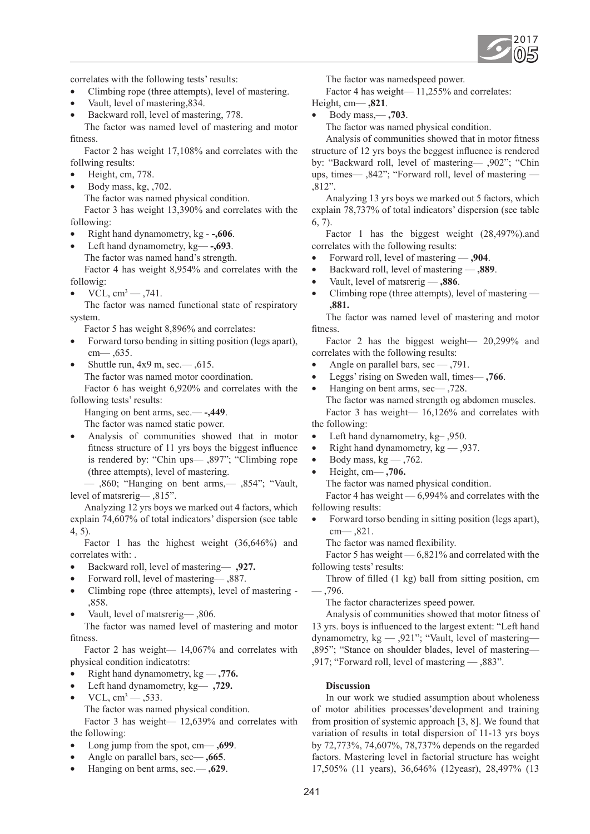

correlates with the following tests' results:

- Climbing rope (three attempts), level of mastering.
- Vault, level of mastering, 834.
- Backward roll, level of mastering, 778.

The factor was named level of mastering and motor fitness.

Factor 2 has weight 17,108% and correlates with the follwing results:

- Height, cm, 778.
- Body mass, kg, ,702.

The factor was named physical condition.

Factor 3 has weight 13,390% and correlates with the following:

- Right hand dynamometry, kg -,606.
- Left hand dynamometry, kg<sub>-</sub>,693.
	- The factor was named hand's strength.

Factor 4 has weight 8,954% and correlates with the followig:

•  $VCL, cm^3 - 0.741$ .

The factor was named functional state of respiratory system.

Factor 5 has weight 8,896% and correlates:

- Forward torso bending in sitting position (legs apart), cm— ,635.
- Shuttle run,  $4x9$  m, sec.—  $,615$ .

The factor was named motor coordination.

Factor 6 has weight 6,920% and correlates with the following tests' results:

Hanging on bent arms, sec.— **-,449**.

The factor was named static power.

Analysis of communities showed that in motor fitness structure of 11 yrs boys the biggest influence is rendered by: "Chin ups— ,897"; "Climbing rope (three attempts), level of mastering.

— ,860; "Hanging on bent arms,— ,854"; "Vault, level of matsrerig— ,815".

Analyzing 12 yrs boys we marked out 4 factors, which explain 74,607% of total indicators' dispersion (see table 4, 5).

Factor 1 has the highest weight (36,646%) and correlates with: .

- • Backward roll, level of mastering— **,927.**
- Forward roll, level of mastering—,887.
- Climbing rope (three attempts), level of mastering -,858.
- Vault, level of matsrerig—, 806.

The factor was named level of mastering and motor fitness.

Factor 2 has weight— 14,067% and correlates with physical condition indicatotrs:

- • Right hand dynamometry, kg **,776.**
- • Left hand dynamometry, kg— **,729.**
- $VCL, cm^3 0.533$ .
- The factor was named physical condition.

Factor 3 has weight— 12,639% and correlates with the following:

- Long jump from the spot, cm— **,699**.
- Angle on parallel bars, sec— , 665.
- • Hanging on bent arms, sec.— **,629**.

The factor was namedspeed power.

Factor 4 has weight— 11,255% and correlates:

- Height, cm— **,821**.
	- • Body mass,— **,703**.

The factor was named physical condition.

Analysis of communities showed that in motor fitness structure of 12 yrs boys the beggest influence is rendered by: "Backward roll, level of mastering— ,902"; "Chin ups, times— ,842"; "Forward roll, level of mastering — ,812".

Analyzing 13 yrs boys we marked out 5 factors, which explain 78,737% of total indicators' dispersion (see table  $6, 7)$ 

Factor 1 has the biggest weight (28,497%).and correlates with the following results:

- Forward roll, level of mastering **,904**.
- **Backward roll, level of mastering .889.**
- Vault, level of matsrerig  $-$ **,886**.
- Climbing rope (three attempts), level of mastering  $-$ **,881.**

The factor was named level of mastering and motor fitness.

Factor 2 has the biggest weight— 20,299% and correlates with the following results:

- Angle on parallel bars,  $\sec = 791$ .
- Leggs' rising on Sweden wall, times— **,766**.
- Hanging on bent arms,  $\sec$   $\frac{728}{6}$ . The factor was named strength og abdomen muscles. Factor 3 has weight— 16,126% and correlates with the following:
- Left hand dynamometry, kg-, 950.
- Right hand dynamometry,  $kg 0.937$ .
- Body mass,  $kg 0.762$ .
- • Height, cm— **,706.**

The factor was named physical condition.

Factor 4 has weight — 6,994% and correlates with the following results:

Forward torso bending in sitting position (legs apart), cm— ,821.

The factor was named flexibility.

Factor 5 has weight — 6,821% and correlated with the following tests' results:

Throw of filled (1 kg) ball from sitting position, cm — ,796.

The factor characterizes speed power.

Analysis of communities showed that motor fitness of 13 yrs. boys is influenced to the largest extent: "Left hand dynamometry, kg — ,921"; "Vault, level of mastering— ,895"; "Stance on shoulder blades, level of mastering— ,917; "Forward roll, level of mastering — ,883".

# **Discussion**

In our work we studied assumption about wholeness of motor abilities processes'development and training from prosition of systemic approach [3, 8]. We found that variation of results in total dispersion of 11-13 yrs boys by 72,773%, 74,607%, 78,737% depends on the regarded factors. Mastering level in factorial structure has weight 17,505% (11 years), 36,646% (12yeasr), 28,497% (13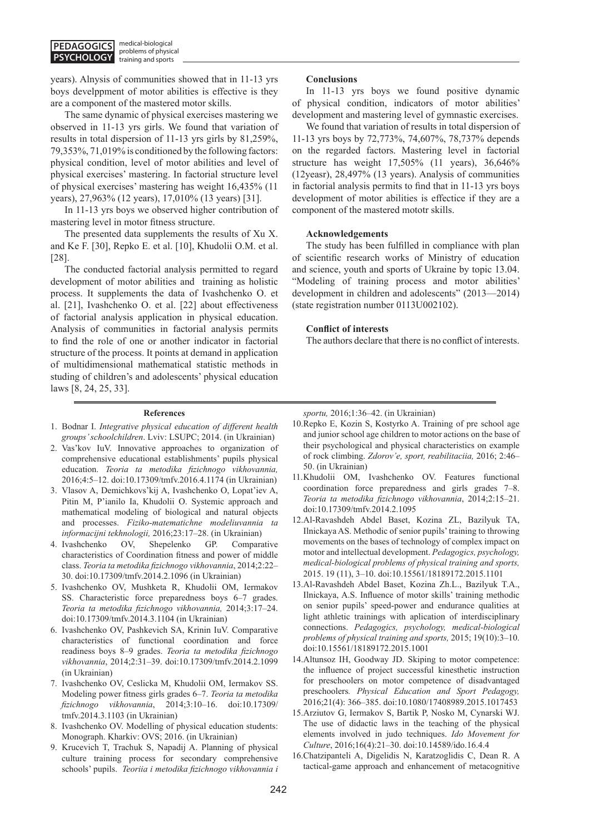years). Alnysis of communities showed that in 11-13 yrs boys develppment of motor abilities is effective is they are a component of the mastered motor skills.

The same dynamic of physical exercises mastering we observed in 11-13 yrs girls. We found that variation of results in total dispersion of 11-13 yrs girls by 81,259%, 79,353%, 71,019% is conditioned by the following factors: physical condition, level of motor abilities and level of physical exercises' mastering. In factorial structure level of physical exercises' mastering has weight 16,435% (11 years), 27,963% (12 years), 17,010% (13 years) [31].

In 11-13 yrs boys we observed higher contribution of mastering level in motor fitness structure.

The presented data supplements the results of Xu X. and Ke F. [30], Repko E. et al. [10], Khudolii O.M. et al. [28].

The conducted factorial analysis permitted to regard development of motor abilities and training as holistic process. It supplements the data of Ivashchenko O. et al. [21], Ivashchenko O. et al. [22] about effectiveness of factorial analysis application in physical education. Analysis of communities in factorial analysis permits to find the role of one or another indicator in factorial structure of the process. It points at demand in application of multidimensional mathematical statistic methods in studing of children's and adolescents' physical education laws [8, 24, 25, 33].

#### **References**

- 1. Bodnar I. *Integrative physical education of different health groups' schoolchildren*. Lviv: LSUPC; 2014. (in Ukrainian)
- 2. Vas'kov IuV. Innovative approaches to organization of comprehensive educational establishments' pupils physical education. *Teoria ta metodika fizichnogo vikhovannia,* 2016;4:5–12. doi:10.17309/tmfv.2016.4.1174 (in Ukrainian)
- 3. Vlasov A, Demichkovs'kij A, Ivashchenko O, Lopat'iev A, Pitin M, P'ianilo Ia, Khudolii O. Systemic approach and mathematical modeling of biological and natural objects and processes. *Fiziko-matematichne modeliuvannia ta informacijni tekhnologii,* 2016;23:17–28. (in Ukrainian)
- 4. Ivashchenko OV, Shepelenko GP. Comparative characteristics of Coordination fitness and power of middle class. *Teoria ta metodika fizichnogo vikhovannia*, 2014;2:22– 30. doi:10.17309/tmfv.2014.2.1096 (in Ukrainian)
- 5. Ivashchenko OV, Mushketa R, Khudolii OM, Iermakov SS. Characteristic force preparedness boys 6–7 grades. *Teoria ta metodika fizichnogo vikhovannia,* 2014;3:17–24. doi:10.17309/tmfv.2014.3.1104 (in Ukrainian)
- 6. Ivashchenko OV, Pashkevich SA, Krinin IuV. Comparative characteristics of functional coordination and force readiness boys 8–9 grades. *Teoria ta metodika fizichnogo vikhovannia*, 2014;2:31–39. doi:10.17309/tmfv.2014.2.1099 (in Ukrainian)
- 7. Ivashchenko OV, Ceslicka M, Khudolii OM, Iermakov SS. Modeling power fitness girls grades 6–7. *Teoria ta metodika fizichnogo vikhovannia*, 2014;3:10–16. doi:10.17309/ tmfv.2014.3.1103 (in Ukrainian)
- 8. Ivashchenko OV. Modelling of physical education students: Monograph. Kharkiv: OVS; 2016. (in Ukrainian)
- 9. Krucevich T, Trachuk S, Napadij A. Planning of physical culture training process for secondary comprehensive schools' pupils. *Teoriia i metodika fizichnogo vikhovannia i*

### **Conclusions**

In 11-13 yrs boys we found positive dynamic of physical condition, indicators of motor abilities' development and mastering level of gymnastic exercises.

We found that variation of results in total dispersion of 11-13 yrs boys by 72,773%, 74,607%, 78,737% depends on the regarded factors. Mastering level in factorial structure has weight 17,505% (11 years), 36,646% (12yeasr), 28,497% (13 years). Analysis of communities in factorial analysis permits to find that in 11-13 yrs boys development of motor abilities is effectice if they are a component of the mastered mototr skills.

## **Acknowledgements**

The study has been fulfilled in compliance with plan of scientific research works of Ministry of education and science, youth and sports of Ukraine by topic 13.04. "Modeling of training process and motor abilities' development in children and adolescents" (2013—2014) (state registration number 0113U002102).

### **Conflict of interests**

The authors declare that there is no conflict of interests.

*sportu,* 2016;1:36–42. (in Ukrainian)

- 10.Repko E, Kozin S, Kostyrko A. Training of pre school age and junior school age children to motor actions on the base of their psychological and physical characteristics on example of rock climbing. *Zdorov'e, sport, reabilitaciia,* 2016; 2:46– 50. (in Ukrainian)
- 11.Khudolii OM, Ivashchenko OV. Features functional coordination force preparedness and girls grades 7–8. *Teoria ta metodika fizichnogo vikhovannia*, 2014;2:15–21. doi:10.17309/tmfv.2014.2.1095
- 12.Al-Ravashdeh Abdel Baset, Kozina ZL, Bazilyuk TA, Ilnickaya AS. Methodic of senior pupils' training to throwing movements on the bases of technology of complex impact on motor and intellectual development. *Pedagogics, psychology, medical-biological problems of physical training and sports,*  2015. 19 (11), 3–10. doi:10.15561/18189172.2015.1101
- 13.Al-Ravashdeh Abdel Baset, Kozina Zh.L., Bazilyuk T.A., Ilnickaya, A.S. Influence of motor skills' training methodic on senior pupils' speed-power and endurance qualities at light athletic trainings with aplication of interdisciplinary connections. *Pedagogics, psychology, medical-biological problems of physical training and sports,* 2015; 19(10):3–10. doi:10.15561/18189172.2015.1001
- 14.Altunsoz IH, Goodway JD. Skiping to motor competence: the influence of project successful kinesthetic instruction for preschoolers on motor competence of disadvantaged preschoolers*. Physical Education and Sport Pedagogy,* 2016;21(4): 366–385. doi:10.1080/17408989.2015.1017453
- 15.Arziutov G, Iermakov S, Bartik P, Nosko M, Cynarski WJ. The use of didactic laws in the teaching of the physical elements involved in judo techniques. *Ido Movement for Culture*, 2016;16(4):21–30. doi:10.14589/ido.16.4.4
- 16.Chatzipanteli A, Digelidis N, Karatzoglidis C, Dean R. A tactical-game approach and enhancement of metacognitive